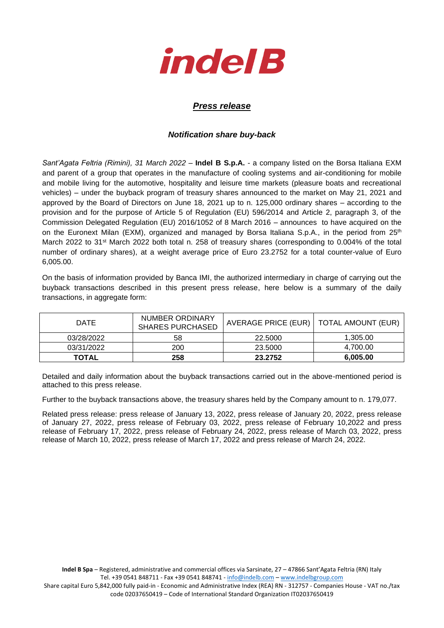

## *Press release*

## *Notification share buy-back*

*Sant'Agata Feltria (Rimini), 31 March 2022* – **Indel B S.p.A.** - a company listed on the Borsa Italiana EXM and parent of a group that operates in the manufacture of cooling systems and air-conditioning for mobile and mobile living for the automotive, hospitality and leisure time markets (pleasure boats and recreational vehicles) – under the buyback program of treasury shares announced to the market on May 21, 2021 and approved by the Board of Directors on June 18, 2021 up to n. 125,000 ordinary shares – according to the provision and for the purpose of Article 5 of Regulation (EU) 596/2014 and Article 2, paragraph 3, of the Commission Delegated Regulation (EU) 2016/1052 of 8 March 2016 – announces to have acquired on the on the Euronext Milan (EXM), organized and managed by Borsa Italiana S.p.A., in the period from 25<sup>th</sup> March 2022 to 31<sup>st</sup> March 2022 both total n. 258 of treasury shares (corresponding to 0.004% of the total number of ordinary shares), at a weight average price of Euro 23.2752 for a total counter-value of Euro 6,005.00.

On the basis of information provided by Banca IMI, the authorized intermediary in charge of carrying out the buyback transactions described in this present press release, here below is a summary of the daily transactions, in aggregate form:

| <b>DATE</b>  | NUMBER ORDINARY<br><b>SHARES PURCHASED</b> | AVERAGE PRICE (EUR)   TOTAL AMOUNT (EUR) |          |
|--------------|--------------------------------------------|------------------------------------------|----------|
| 03/28/2022   | 58                                         | 22,5000                                  | 1,305.00 |
| 03/31/2022   | 200                                        | 23.5000                                  | 4,700.00 |
| <b>TOTAL</b> | 258                                        | 23.2752                                  | 6,005.00 |

Detailed and daily information about the buyback transactions carried out in the above-mentioned period is attached to this press release.

Further to the buyback transactions above, the treasury shares held by the Company amount to n. 179,077.

Related press release: press release of January 13, 2022, press release of January 20, 2022, press release of January 27, 2022, press release of February 03, 2022, press release of February 10,2022 and press release of February 17, 2022, press release of February 24, 2022, press release of March 03, 2022, press release of March 10, 2022, press release of March 17, 2022 and press release of March 24, 2022.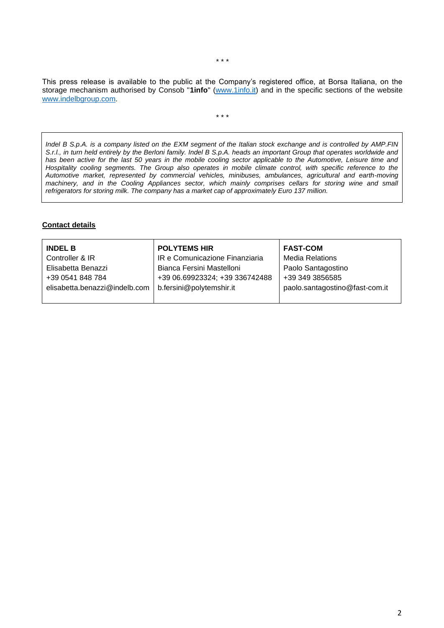This press release is available to the public at the Company's registered office, at Borsa Italiana, on the storage mechanism authorised by Consob "**1info**" [\(www.1info.it\)](file:///C:/Users/ddelietovollaro/AppData/Local/Microsoft/Windows/INetCache/Content.Outlook/T87B94UR/www.1info.it) and in the specific sections of the website [www.indelbgroup.com.](http://www.indelbgroup.com/)

\* \* \*

*Indel B S.p.A. is a company listed on the EXM segment of the Italian stock exchange and is controlled by AMP.FIN S.r.l., in turn held entirely by the Berloni family. Indel B S.p.A. heads an important Group that operates worldwide and has been active for the last 50 years in the mobile cooling sector applicable to the Automotive, Leisure time and Hospitality cooling segments. The Group also operates in mobile climate control, with specific reference to the Automotive market, represented by commercial vehicles, minibuses, ambulances, agricultural and earth-moving machinery, and in the Cooling Appliances sector, which mainly comprises cellars for storing wine and small refrigerators for storing milk. The company has a market cap of approximately Euro 137 million.*

## **Contact details**

| <b>INDEL B</b>                | <b>POLYTEMS HIR</b>            | <b>FAST-COM</b>                |
|-------------------------------|--------------------------------|--------------------------------|
| Controller & IR               | IR e Comunicazione Finanziaria | <b>Media Relations</b>         |
| Elisabetta Benazzi            | Bianca Fersini Mastelloni      | Paolo Santagostino             |
| +39 0541 848 784              | +39 06.69923324; +39 336742488 | +39 349 3856585                |
| elisabetta.benazzi@indelb.com | b.fersini@polytemshir.it       | paolo.santagostino@fast-com.it |
|                               |                                |                                |

\* \* \*